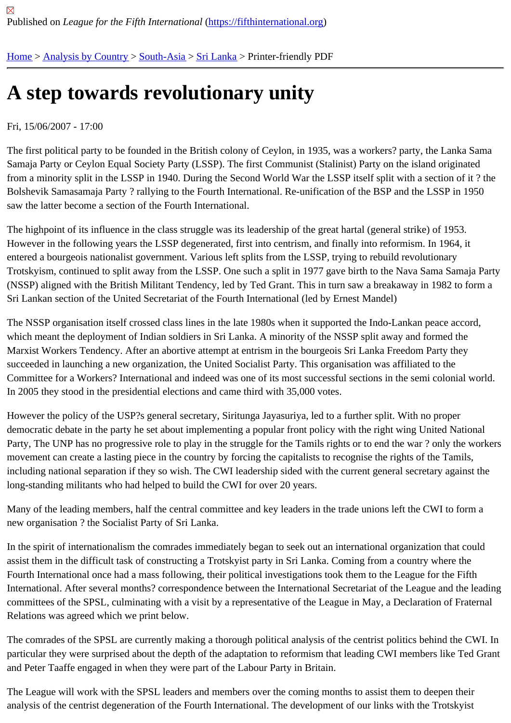## [A s](https://fifthinternational.org/)t[ep toward](https://fifthinternational.org/category/1)[s revo](https://fifthinternational.org/category/1/200)l[ution](https://fifthinternational.org/category/1/200/208)ary unity

## Fri, 15/06/2007 - 17:00

The first political party to be founded in the British colony of Ceylon, in 1935, was a workers? party, the Lanka San Samaja Party or Ceylon Equal Society Party (LSSP). The first Communist (Stalinist) Party on the island originated from a minority split in the LSSP in 1940. During the Second World War the LSSP itself split with a section of it? tl Bolshevik Samasamaja Party ? rallying to the Fourth International. Re-unification of the BSP and the LSSP in 1950 saw the latter become a section of the Fourth International.

The highpoint of its influence in the class struggle was its leadership of the great hartal (general strike) of 1953. However in the following years the LSSP degenerated, first into centrism, and finally into reformism. In 1964, it entered a bourgeois nationalist government. Various left splits from the LSSP, trying to rebuild revolutionary Trotskyism, continued to split away from the LSSP. One such a split in 1977 gave birth to the Nava Sama Samaja Party (NSSP) aligned with the British Militant Tendency, led by Ted Grant. This in turn saw a breakaway in 1982 to form Sri Lankan section of the United Secretariat of the Fourth International (led by Ernest Mandel)

The NSSP organisation itself crossed class lines in the late 1980s when it supported the Indo-Lankan peace accor which meant the deployment of Indian soldiers in Sri Lanka. A minority of the NSSP split away and formed the Marxist Workers Tendency. After an abortive attempt at entrism in the bourgeois Sri Lanka Freedom Party they succeeded in launching a new organization, the United Socialist Party. This organisation was affiliated to the Committee for a Workers? International and indeed was one of its most successful sections in the semi colonial w In 2005 they stood in the presidential elections and came third with 35,000 votes.

However the policy of the USP?s general secretary, Siritunga Jayasuriya, led to a further split. With no proper democratic debate in the party he set about implementing a popular front policy with the right wing United National Party, The UNP has no progressive role to play in the struggle for the Tamils rights or to end the war? only the wo movement can create a lasting piece in the country by forcing the capitalists to recognise the rights of the Tamils, including national separation if they so wish. The CWI leadership sided with the current general secretary against long-standing militants who had helped to build the CWI for over 20 years.

Many of the leading members, half the central committee and key leaders in the trade unions left the CWI to form new organisation ? the Socialist Party of Sri Lanka.

In the spirit of internationalism the comrades immediately began to seek out an international organization that coul assist them in the difficult task of constructing a Trotskyist party in Sri Lanka. Coming from a country where the Fourth International once had a mass following, their political investigations took them to the League for the Fifth International. After several months? correspondence between the International Secretariat of the League and the I committees of the SPSL, culminating with a visit by a representative of the League in May, a Declaration of Frateri Relations was agreed which we print below.

The comrades of the SPSL are currently making a thorough political analysis of the centrist politics behind the CW particular they were surprised about the depth of the adaptation to reformism that leading CWI members like Ted ( and Peter Taaffe engaged in when they were part of the Labour Party in Britain.

The League will work with the SPSL leaders and members over the coming months to assist them to deepen their analysis of the centrist degeneration of the Fourth International. The development of our links with the Trotskyist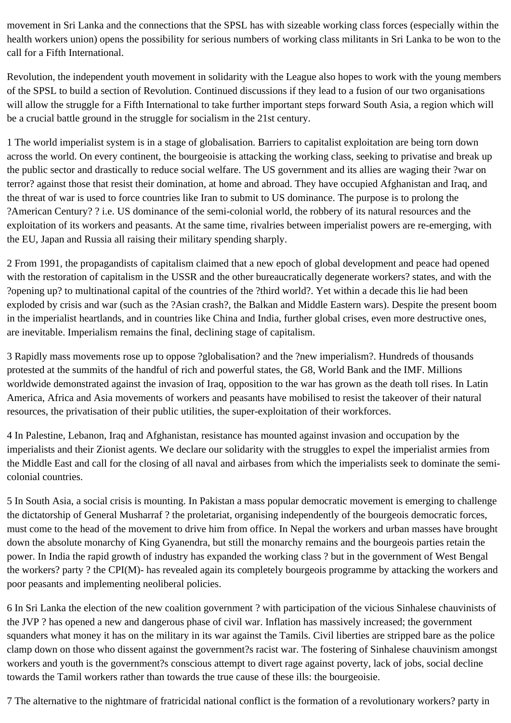movement in Sri Lanka and the connections that the SPSL has with sizeable working class forces (especially within the health workers union) opens the possibility for serious numbers of working class militants in Sri Lanka to be won to the call for a Fifth International.

Revolution, the independent youth movement in solidarity with the League also hopes to work with the young members of the SPSL to build a section of Revolution. Continued discussions if they lead to a fusion of our two organisations will allow the struggle for a Fifth International to take further important steps forward South Asia, a region which will be a crucial battle ground in the struggle for socialism in the 21st century.

1 The world imperialist system is in a stage of globalisation. Barriers to capitalist exploitation are being torn down across the world. On every continent, the bourgeoisie is attacking the working class, seeking to privatise and break up the public sector and drastically to reduce social welfare. The US government and its allies are waging their ?war on terror? against those that resist their domination, at home and abroad. They have occupied Afghanistan and Iraq, and the threat of war is used to force countries like Iran to submit to US dominance. The purpose is to prolong the ?American Century? ? i.e. US dominance of the semi-colonial world, the robbery of its natural resources and the exploitation of its workers and peasants. At the same time, rivalries between imperialist powers are re-emerging, with the EU, Japan and Russia all raising their military spending sharply.

2 From 1991, the propagandists of capitalism claimed that a new epoch of global development and peace had opened with the restoration of capitalism in the USSR and the other bureaucratically degenerate workers? states, and with the ?opening up? to multinational capital of the countries of the ?third world?. Yet within a decade this lie had been exploded by crisis and war (such as the ?Asian crash?, the Balkan and Middle Eastern wars). Despite the present boom in the imperialist heartlands, and in countries like China and India, further global crises, even more destructive ones, are inevitable. Imperialism remains the final, declining stage of capitalism.

3 Rapidly mass movements rose up to oppose ?globalisation? and the ?new imperialism?. Hundreds of thousands protested at the summits of the handful of rich and powerful states, the G8, World Bank and the IMF. Millions worldwide demonstrated against the invasion of Iraq, opposition to the war has grown as the death toll rises. In Latin America, Africa and Asia movements of workers and peasants have mobilised to resist the takeover of their natural resources, the privatisation of their public utilities, the super-exploitation of their workforces.

4 In Palestine, Lebanon, Iraq and Afghanistan, resistance has mounted against invasion and occupation by the imperialists and their Zionist agents. We declare our solidarity with the struggles to expel the imperialist armies from the Middle East and call for the closing of all naval and airbases from which the imperialists seek to dominate the semicolonial countries.

5 In South Asia, a social crisis is mounting. In Pakistan a mass popular democratic movement is emerging to challenge the dictatorship of General Musharraf ? the proletariat, organising independently of the bourgeois democratic forces, must come to the head of the movement to drive him from office. In Nepal the workers and urban masses have brought down the absolute monarchy of King Gyanendra, but still the monarchy remains and the bourgeois parties retain the power. In India the rapid growth of industry has expanded the working class ? but in the government of West Bengal the workers? party ? the CPI(M)- has revealed again its completely bourgeois programme by attacking the workers and poor peasants and implementing neoliberal policies.

6 In Sri Lanka the election of the new coalition government ? with participation of the vicious Sinhalese chauvinists of the JVP ? has opened a new and dangerous phase of civil war. Inflation has massively increased; the government squanders what money it has on the military in its war against the Tamils. Civil liberties are stripped bare as the police clamp down on those who dissent against the government?s racist war. The fostering of Sinhalese chauvinism amongst workers and youth is the government?s conscious attempt to divert rage against poverty, lack of jobs, social decline towards the Tamil workers rather than towards the true cause of these ills: the bourgeoisie.

7 The alternative to the nightmare of fratricidal national conflict is the formation of a revolutionary workers? party in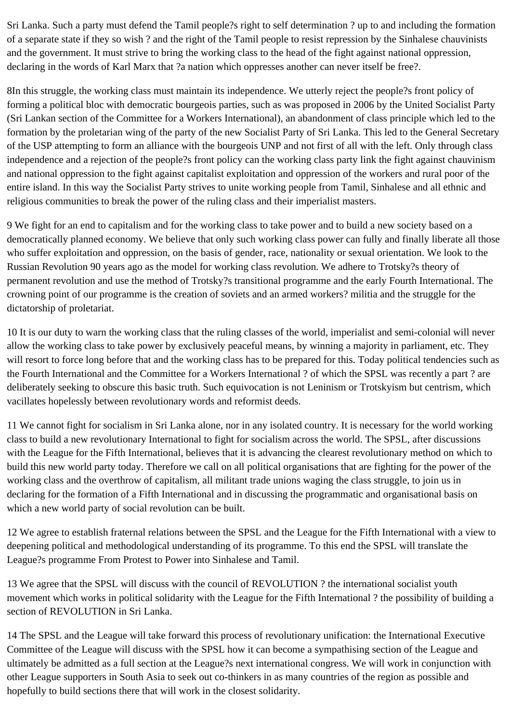Sri Lanka. Such a party must defend the Tamil people?s right to self determination ? up to and including the formation of a separate state if they so wish ? and the right of the Tamil people to resist repression by the Sinhalese chauvinists and the government. It must strive to bring the working class to the head of the fight against national oppression, declaring in the words of Karl Marx that ?a nation which oppresses another can never itself be free?.

8In this struggle, the working class must maintain its independence. We utterly reject the people?s front policy of forming a political bloc with democratic bourgeois parties, such as was proposed in 2006 by the United Socialist Party (Sri Lankan section of the Committee for a Workers International), an abandonment of class principle which led to the formation by the proletarian wing of the party of the new Socialist Party of Sri Lanka. This led to the General Secretary of the USP attempting to form an alliance with the bourgeois UNP and not first of all with the left. Only through class independence and a rejection of the people?s front policy can the working class party link the fight against chauvinism and national oppression to the fight against capitalist exploitation and oppression of the workers and rural poor of the entire island. In this way the Socialist Party strives to unite working people from Tamil, Sinhalese and all ethnic and religious communities to break the power of the ruling class and their imperialist masters.

9 We fight for an end to capitalism and for the working class to take power and to build a new society based on a democratically planned economy. We believe that only such working class power can fully and finally liberate all those who suffer exploitation and oppression, on the basis of gender, race, nationality or sexual orientation. We look to the Russian Revolution 90 years ago as the model for working class revolution. We adhere to Trotsky?s theory of permanent revolution and use the method of Trotsky?s transitional programme and the early Fourth International. The crowning point of our programme is the creation of soviets and an armed workers? militia and the struggle for the dictatorship of proletariat.

10 It is our duty to warn the working class that the ruling classes of the world, imperialist and semi-colonial will never allow the working class to take power by exclusively peaceful means, by winning a majority in parliament, etc. They will resort to force long before that and the working class has to be prepared for this. Today political tendencies such as the Fourth International and the Committee for a Workers International ? of which the SPSL was recently a part ? are deliberately seeking to obscure this basic truth. Such equivocation is not Leninism or Trotskyism but centrism, which vacillates hopelessly between revolutionary words and reformist deeds.

11 We cannot fight for socialism in Sri Lanka alone, nor in any isolated country. It is necessary for the world working class to build a new revolutionary International to fight for socialism across the world. The SPSL, after discussions with the League for the Fifth International, believes that it is advancing the clearest revolutionary method on which to build this new world party today. Therefore we call on all political organisations that are fighting for the power of the working class and the overthrow of capitalism, all militant trade unions waging the class struggle, to join us in declaring for the formation of a Fifth International and in discussing the programmatic and organisational basis on which a new world party of social revolution can be built.

12 We agree to establish fraternal relations between the SPSL and the League for the Fifth International with a view to deepening political and methodological understanding of its programme. To this end the SPSL will translate the League?s programme From Protest to Power into Sinhalese and Tamil.

13 We agree that the SPSL will discuss with the council of REVOLUTION ? the international socialist youth movement which works in political solidarity with the League for the Fifth International ? the possibility of building a section of REVOLUTION in Sri Lanka.

14 The SPSL and the League will take forward this process of revolutionary unification: the International Executive Committee of the League will discuss with the SPSL how it can become a sympathising section of the League and ultimately be admitted as a full section at the League?s next international congress. We will work in conjunction with other League supporters in South Asia to seek out co-thinkers in as many countries of the region as possible and hopefully to build sections there that will work in the closest solidarity.